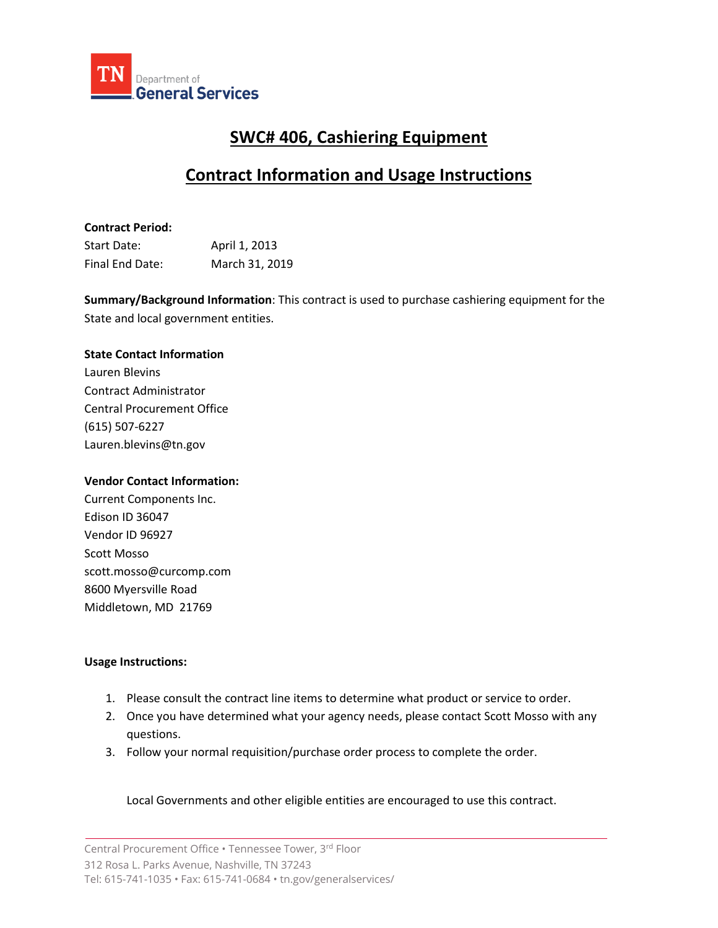

# **SWC# 406, Cashiering Equipment**

## **Contract Information and Usage Instructions**

## **Contract Period:**

| Start Date:     | April 1, 2013  |
|-----------------|----------------|
| Final End Date: | March 31, 2019 |

**Summary/Background Information**: This contract is used to purchase cashiering equipment for the State and local government entities.

## **State Contact Information**

Lauren Blevins Contract Administrator Central Procurement Office (615) 507-6227 Lauren.blevins@tn.gov

### **Vendor Contact Information:**

Current Components Inc. Edison ID 36047 Vendor ID 96927 Scott Mosso scott.mosso@curcomp.com 8600 Myersville Road Middletown, MD 21769

### **Usage Instructions:**

- 1. Please consult the contract line items to determine what product or service to order.
- 2. Once you have determined what your agency needs, please contact Scott Mosso with any questions.
- 3. Follow your normal requisition/purchase order process to complete the order.

Local Governments and other eligible entities are encouraged to use this contract.